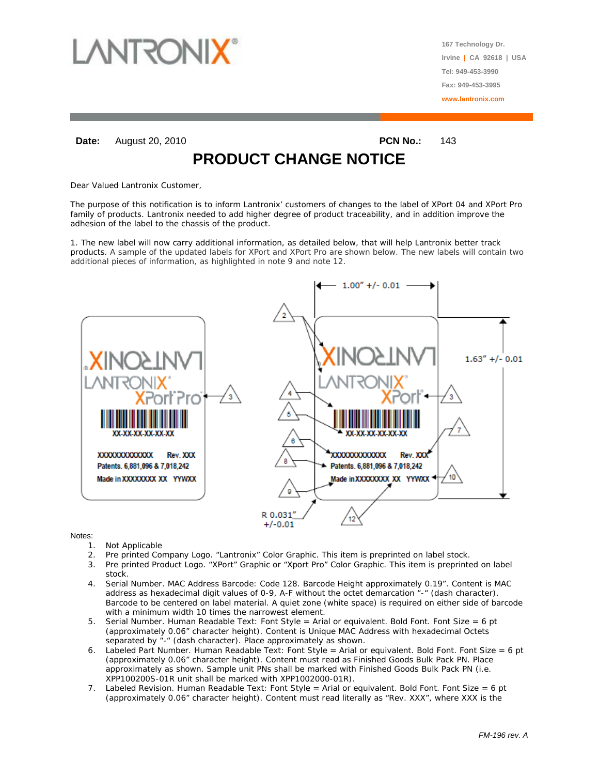

**167 Technology Dr. Irvine | CA 92618 | USA Tel: 949-453-3990 Fax: 949-453-3995 www.lantronix.com**

**Date:** August 20, 2010 **PCN No.: 143** 

**PRODUCT CHANGE NOTICE**

Dear Valued Lantronix Customer,

The purpose of this notification is to inform Lantronix' customers of changes to the label of XPort 04 and XPort Pro family of products. Lantronix needed to add higher degree of product traceability, and in addition improve the adhesion of the label to the chassis of the product.

1. The new label will now carry additional information, as detailed below, that will help Lantronix better track products. A sample of the updated labels for XPort and XPort Pro are shown below. The new labels will contain two additional pieces of information, as highlighted in note 9 and note 12.



Notes:

- 1. Not Applicable
- 2. Pre printed Company Logo. "Lantronix" Color Graphic. This item is preprinted on label stock.
- 3. Pre printed Product Logo. "XPort" Graphic or "Xport Pro" Color Graphic. This item is preprinted on label stock.
- 4. Serial Number. MAC Address Barcode: Code 128. Barcode Height approximately 0.19". Content is MAC address as hexadecimal digit values of 0-9, A-F without the octet demarcation "-" (dash character). Barcode to be centered on label material. A quiet zone (white space) is required on either side of barcode with a minimum width 10 times the narrowest element.
- 5. Serial Number. Human Readable Text: Font Style = Arial or equivalent. Bold Font. Font Size = 6 pt (approximately 0.06" character height). Content is Unique MAC Address with hexadecimal Octets separated by "-" (dash character). Place approximately as shown.
- 6. Labeled Part Number. Human Readable Text: Font Style = Arial or equivalent. Bold Font. Font Size = 6 pt (approximately 0.06" character height). Content must read as Finished Goods Bulk Pack PN. Place approximately as shown. Sample unit PNs shall be marked with Finished Goods Bulk Pack PN (i.e. XPP100200S-01R unit shall be marked with XPP1002000-01R).
- 7. Labeled Revision. Human Readable Text: Font Style = Arial or equivalent. Bold Font. Font Size = 6 pt (approximately 0.06" character height). Content must read literally as "Rev. XXX", where XXX is the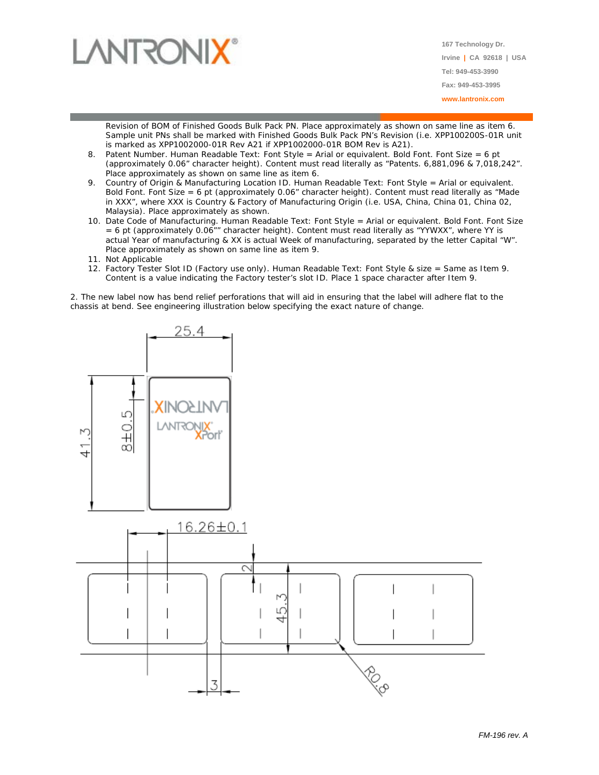

**167 Technology Dr. Irvine | CA 92618 | USA Tel: 949-453-3990 Fax: 949-453-3995 www.lantronix.com**

Revision of BOM of Finished Goods Bulk Pack PN. Place approximately as shown on same line as item 6. Sample unit PNs shall be marked with Finished Goods Bulk Pack PN's Revision (i.e. XPP100200S-01R unit is marked as XPP1002000-01R Rev A21 if XPP1002000-01R BOM Rev is A21).

- 8. Patent Number. Human Readable Text: Font Style = Arial or equivalent. Bold Font. Font Size = 6 pt (approximately 0.06" character height). Content must read literally as "Patents. 6,881,096 & 7,018,242". Place approximately as shown on same line as item 6.
- 9. Country of Origin & Manufacturing Location ID. Human Readable Text: Font Style = Arial or equivalent. Bold Font. Font Size = 6 pt (approximately 0.06" character height). Content must read literally as "Made in XXX", where XXX is Country & Factory of Manufacturing Origin (i.e. USA, China, China 01, China 02, Malaysia). Place approximately as shown.
- 10. Date Code of Manufacturing. Human Readable Text: Font Style = Arial or equivalent. Bold Font. Font Size  $= 6$  pt (approximately 0.06"" character height). Content must read literally as "YYWXX", where YY is actual Year of manufacturing & XX is actual Week of manufacturing, separated by the letter Capital "W". Place approximately as shown on same line as item 9.
- 11. Not Applicable
- 12. Factory Tester Slot ID (Factory use only). Human Readable Text: Font Style & size = Same as Item 9. Content is a value indicating the Factory tester's slot ID. Place 1 space character after Item 9.

2. The new label now has bend relief perforations that will aid in ensuring that the label will adhere flat to the chassis at bend. See engineering illustration below specifying the exact nature of change.